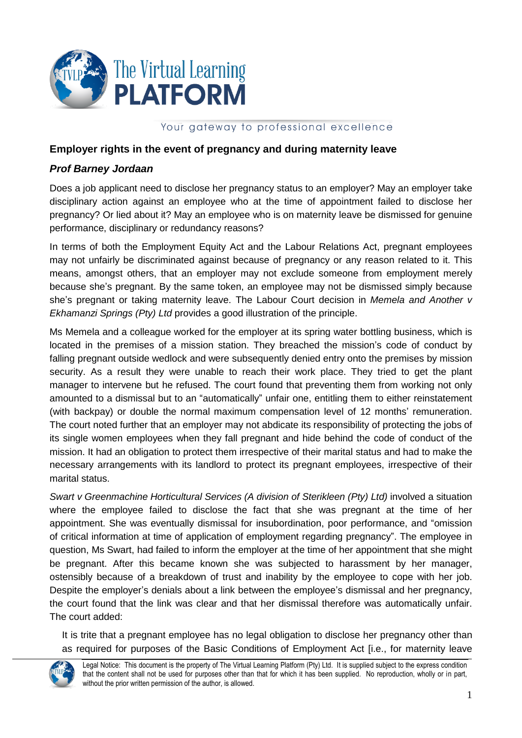

## Your gateway to professional excellence

## **Employer rights in the event of pregnancy and during maternity leave**

## *Prof Barney Jordaan*

Does a job applicant need to disclose her pregnancy status to an employer? May an employer take disciplinary action against an employee who at the time of appointment failed to disclose her pregnancy? Or lied about it? May an employee who is on maternity leave be dismissed for genuine performance, disciplinary or redundancy reasons?

In terms of both the Employment Equity Act and the Labour Relations Act, pregnant employees may not unfairly be discriminated against because of pregnancy or any reason related to it. This means, amongst others, that an employer may not exclude someone from employment merely because she's pregnant. By the same token, an employee may not be dismissed simply because she's pregnant or taking maternity leave. The Labour Court decision in *Memela and Another v Ekhamanzi Springs (Pty) Ltd* provides a good illustration of the principle.

Ms Memela and a colleague worked for the employer at its spring water bottling business, which is located in the premises of a mission station. They breached the mission's code of conduct by falling pregnant outside wedlock and were subsequently denied entry onto the premises by mission security. As a result they were unable to reach their work place. They tried to get the plant manager to intervene but he refused. The court found that preventing them from working not only amounted to a dismissal but to an "automatically" unfair one, entitling them to either reinstatement (with backpay) or double the normal maximum compensation level of 12 months' remuneration. The court noted further that an employer may not abdicate its responsibility of protecting the jobs of its single women employees when they fall pregnant and hide behind the code of conduct of the mission. It had an obligation to protect them irrespective of their marital status and had to make the necessary arrangements with its landlord to protect its pregnant employees, irrespective of their marital status.

*Swart v Greenmachine Horticultural Services (A division of Sterikleen (Pty) Ltd)* involved a situation where the employee failed to disclose the fact that she was pregnant at the time of her appointment. She was eventually dismissal for insubordination, poor performance, and "omission of critical information at time of application of employment regarding pregnancy". The employee in question, Ms Swart, had failed to inform the employer at the time of her appointment that she might be pregnant. After this became known she was subjected to harassment by her manager, ostensibly because of a breakdown of trust and inability by the employee to cope with her job. Despite the employer's denials about a link between the employee's dismissal and her pregnancy, the court found that the link was clear and that her dismissal therefore was automatically unfair. The court added:

It is trite that a pregnant employee has no legal obligation to disclose her pregnancy other than as required for purposes of the Basic Conditions of Employment Act [i.e., for maternity leave



Legal Notice: This document is the property of The Virtual Learning Platform (Pty) Ltd. It is supplied subject to the express condition that the content shall not be used for purposes other than that for which it has been supplied. No reproduction, wholly or in part, without the prior written permission of the author, is allowed.